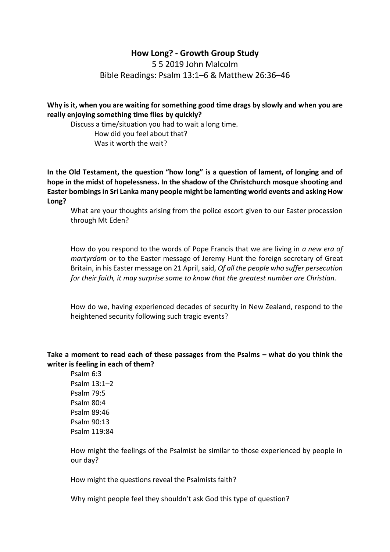# **How Long? - Growth Group Study**

5 5 2019 John Malcolm Bible Readings: Psalm 13:1–6 & Matthew 26:36–46

**Why is it, when you are waiting for something good time drags by slowly and when you are really enjoying something time flies by quickly?** 

Discuss a time/situation you had to wait a long time. How did you feel about that? Was it worth the wait?

**In the Old Testament, the question "how long" is a question of lament, of longing and of hope in the midst of hopelessness. In the shadow of the Christchurch mosque shooting and Easter bombings in Sri Lanka many people might be lamenting world events and asking How Long?**

What are your thoughts arising from the police escort given to our Easter procession through Mt Eden?

How do you respond to the words of Pope Francis that we are living in *a new era of martyrdom* or to the Easter message of Jeremy Hunt the foreign secretary of Great Britain, in his Easter message on 21 April, said, *Of all the people who suffer persecution for their faith, it may surprise some to know that the greatest number are Christian.*

How do we, having experienced decades of security in New Zealand, respond to the heightened security following such tragic events?

## **Take a moment to read each of these passages from the Psalms – what do you think the writer is feeling in each of them?**

Psalm 6:3 Psalm 13:1–2 Psalm 79:5 Psalm 80:4 Psalm 89:46 Psalm 90:13 Psalm 119:84

How might the feelings of the Psalmist be similar to those experienced by people in our day?

How might the questions reveal the Psalmists faith?

Why might people feel they shouldn't ask God this type of question?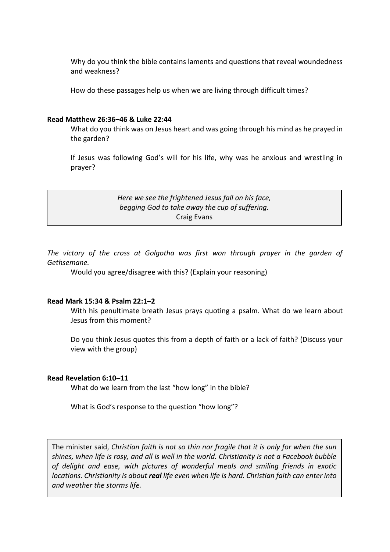Why do you think the bible contains laments and questions that reveal woundedness and weakness?

How do these passages help us when we are living through difficult times?

#### **Read Matthew 26:36–46 & Luke 22:44**

What do you think was on Jesus heart and was going through his mind as he prayed in the garden?

If Jesus was following God's will for his life, why was he anxious and wrestling in prayer?

> *Here we see the frightened Jesus fall on his face, begging God to take away the cup of suffering.* Craig Evans

*The victory of the cross at Golgotha was first won through prayer in the garden of Gethsemane.*

Would you agree/disagree with this? (Explain your reasoning)

## **Read Mark 15:34 & Psalm 22:1–2**

With his penultimate breath Jesus prays quoting a psalm. What do we learn about Jesus from this moment?

Do you think Jesus quotes this from a depth of faith or a lack of faith? (Discuss your view with the group)

### **Read Revelation 6:10–11**

What do we learn from the last "how long" in the bible?

What is God's response to the question "how long"?

The minister said, *Christian faith is not so thin nor fragile that it is only for when the sun shines, when life is rosy, and all is well in the world. Christianity is not a Facebook bubble of delight and ease, with pictures of wonderful meals and smiling friends in exotic locations. Christianity is about real life even when life is hard. Christian faith can enter into and weather the storms life.*